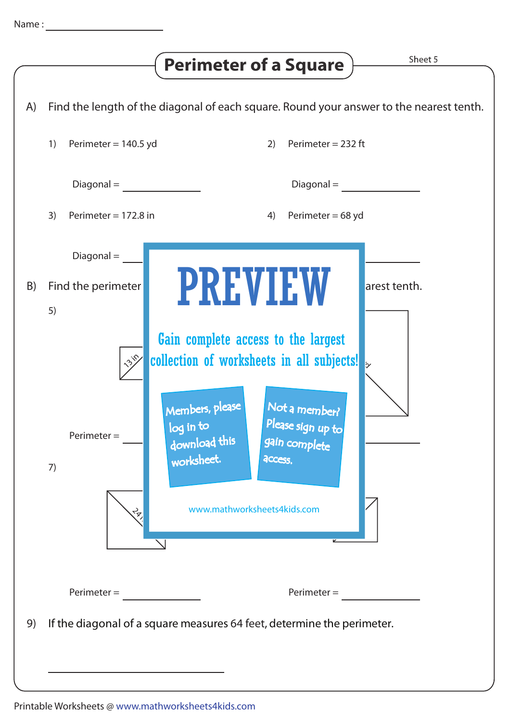